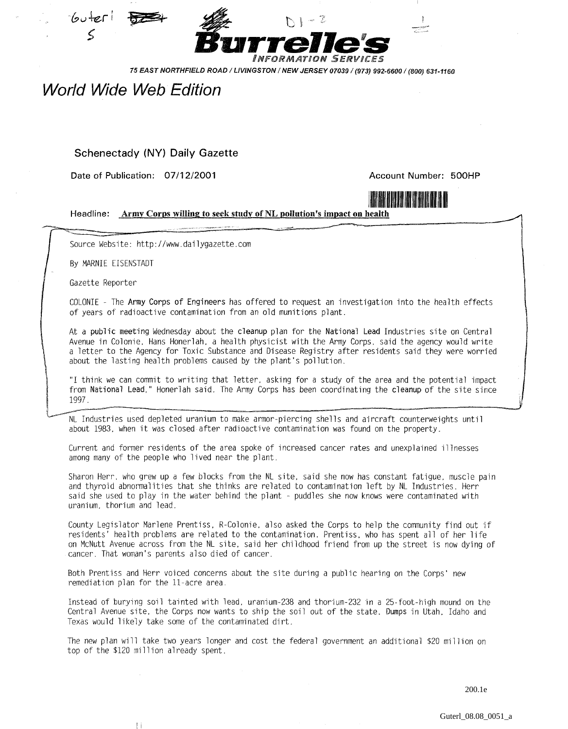



75 EAST NORTHFIELD ROAD / LIVINGSTON / NEW JERSEY 07039 / (973) 992-6600 / (800) 631-1160

## World Wide Weh Edition

## Schenectady (NY) Daily Gazette

**Date of Publication: 07/12/2001 Account Number: 500HP**

 $\mathbb{I}$ 



Headline: Army Corps willing to seek study of NL pollution's impact on health

Source Website: http://www.dailygazette.com

By MARNIE EISEMSTADT

Gazette Reporter

\_ <sup>i</sup> i •

COLONIE - The **Army Corps of Engineers** has offered to request an investigation into the health effects of years of radioactive contamination from an old munitions plant.

At a **public meeting** Wednesday about the **cleanup** plan for the **National Lead** Industries site on Central Avenue in Colonie, Hans Honerlah, a health physicist with the Army Corps, said the agency would write a letter to the Agency for Toxic Substance and Disease Registry after residents said they were worried about the lasting health problems caused by the plant's pollution.

"I think we can commit to writing that letter, asking for a study of the area and the potential impact from National Lead," Honerlah said. The Army Corps has been coordinating the **cleanup** of the site since 1997.

NL Industries used depleted uranium to make armor-piercing shells and aircraft counterweights until about 1983, when it was closed after radioactive contamination was found on the property.

Current and former residents of the area spoke of increased cancer rates and unexplained illnesses among many of the people who lived near the plant.

Sharon Herr, who grew up a few blocks from the NL site, said she now has constant fatigue, muscle pain and thyroid abnormalities that she thinks are related to contamination left by NL Industries. Herr said she used to play in the water behind the plant - puddles she now knows were contaminated with uranium, thorium and lead.

County Legislator Marlene Prentiss, R-Colonie, also asked the Corps to help the community find out if residents' health problems are related to the contamination. Prentiss, who has spent all of her life on McNutt Avenue across from the NL site, said her childhood friend from up the street is now dying of cancer. That woman's parents also died of cancer.

Both Prentiss and Herr voiced concerns about the site during a public hearing on the Corps' new remediation plan for the 11-acre area.

Instead of burying soil tainted with lead, uranium-238 and thorium-232 in a 25-foot-high mound on the Central Avenue site, the Corps now wants to ship the soil out of the state. Dumps in Utah, Idaho and Texas would likely take some of the contaminated dirt.

The new plan will take two years longer and cost the federal government an additional \$20 million on top of the \$120 million already spent.

200.1e